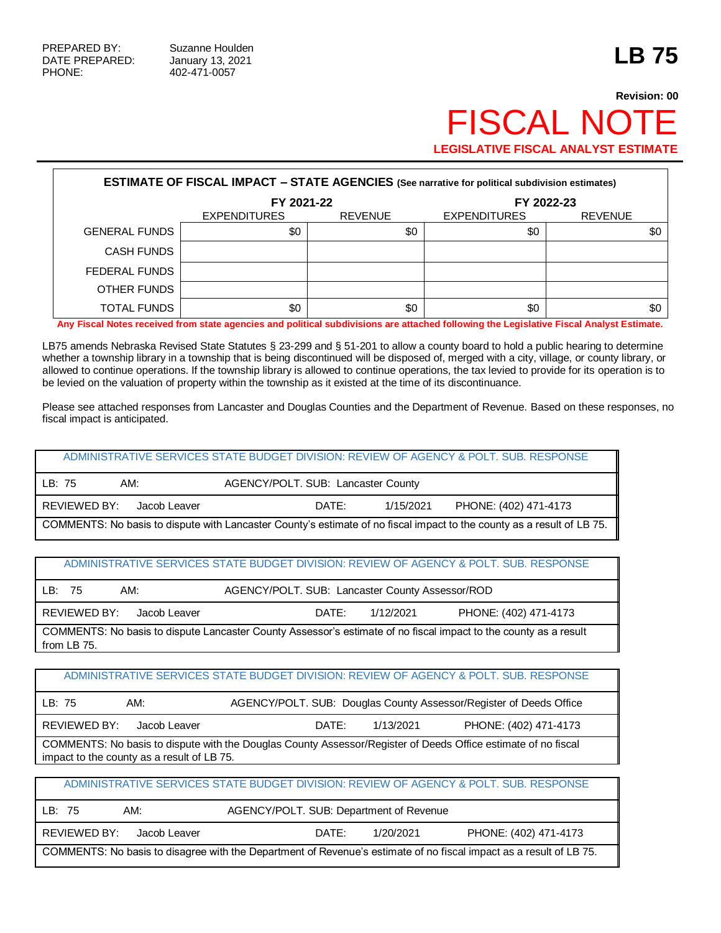## **Revision: 00 FISCAL NOT LEGISLATIVE FISCAL ANALYST ESTIMATE**

| <b>ESTIMATE OF FISCAL IMPACT - STATE AGENCIES (See narrative for political subdivision estimates)</b> |                     |                |                     |                |  |  |  |
|-------------------------------------------------------------------------------------------------------|---------------------|----------------|---------------------|----------------|--|--|--|
|                                                                                                       | FY 2021-22          |                | FY 2022-23          |                |  |  |  |
|                                                                                                       | <b>EXPENDITURES</b> | <b>REVENUE</b> | <b>EXPENDITURES</b> | <b>REVENUE</b> |  |  |  |
| <b>GENERAL FUNDS</b>                                                                                  | \$0                 | \$0            | \$0                 | \$0            |  |  |  |
| <b>CASH FUNDS</b>                                                                                     |                     |                |                     |                |  |  |  |
| FEDERAL FUNDS                                                                                         |                     |                |                     |                |  |  |  |
| OTHER FUNDS                                                                                           |                     |                |                     |                |  |  |  |
| <b>TOTAL FUNDS</b>                                                                                    | \$0                 | \$0            | \$0<br>.            | \$0            |  |  |  |

**Any Fiscal Notes received from state agencies and political subdivisions are attached following the Legislative Fiscal Analyst Estimate.**

LB75 amends Nebraska Revised State Statutes § 23-299 and § 51-201 to allow a county board to hold a public hearing to determine whether a township library in a township that is being discontinued will be disposed of, merged with a city, village, or county library, or allowed to continue operations. If the township library is allowed to continue operations, the tax levied to provide for its operation is to be levied on the valuation of property within the township as it existed at the time of its discontinuance.

Please see attached responses from Lancaster and Douglas Counties and the Department of Revenue. Based on these responses, no fiscal impact is anticipated.

ADMINISTRATIVE SERVICES STATE BUDGET DIVISION: REVIEW OF AGENCY & POLT. SUB. RESPONSE

| LB: 75                                                                                                                 | AM:          | AGENCY/POLT. SUB: Lancaster County |           |                       |  |
|------------------------------------------------------------------------------------------------------------------------|--------------|------------------------------------|-----------|-----------------------|--|
| I REVIEWED BY:                                                                                                         | Jacob Leaver | DATE:                              | 1/15/2021 | PHONE: (402) 471-4173 |  |
| COMMENTS: No basis to dispute with Lancaster County's estimate of no fiscal impact to the county as a result of LB 75. |              |                                    |           |                       |  |

## ADMINISTRATIVE SERVICES STATE BUDGET DIVISION: REVIEW OF AGENCY & POLT. SUB. RESPONSE

| LB:<br>AM:<br>-75                                                                                                               |       | AGENCY/POLT. SUB: Lancaster County Assessor/ROD |                       |  |  |  |
|---------------------------------------------------------------------------------------------------------------------------------|-------|-------------------------------------------------|-----------------------|--|--|--|
| REVIEWED BY: Jacob Leaver                                                                                                       | DATE: | 1/12/2021                                       | PHONE: (402) 471-4173 |  |  |  |
| COMMENTS: No basis to dispute Lancaster County Assessor's estimate of no fiscal impact to the county as a result<br>from LB 75. |       |                                                 |                       |  |  |  |

## ADMINISTRATIVE SERVICES STATE BUDGET DIVISION: REVIEW OF AGENCY & POLT. SUB. RESPONSE

| l LB: 75                                                                                                                                                    | AM:          | AGENCY/POLT. SUB: Douglas County Assessor/Register of Deeds Office |           |                       |  |  |
|-------------------------------------------------------------------------------------------------------------------------------------------------------------|--------------|--------------------------------------------------------------------|-----------|-----------------------|--|--|
| REVIEWED BY:                                                                                                                                                | Jacob Leaver | DATE:                                                              | 1/13/2021 | PHONE: (402) 471-4173 |  |  |
| COMMENTS: No basis to dispute with the Douglas County Assessor/Register of Deeds Office estimate of no fiscal<br>impact to the county as a result of LB 75. |              |                                                                    |           |                       |  |  |

ADMINISTRATIVE SERVICES STATE BUDGET DIVISION: REVIEW OF AGENCY & POLT. SUB. RESPONSE

| LB: 75       | AM:          | AGENCY/POLT. SUB: Department of Revenue |                                                                                                                    |  |
|--------------|--------------|-----------------------------------------|--------------------------------------------------------------------------------------------------------------------|--|
| REVIEWED BY: | Jacob Leaver | DATE:                                   | PHONE: (402) 471-4173<br>1/20/2021                                                                                 |  |
|              |              |                                         | COMMENTS: No basis to disagree with the Department of Revenue's estimate of no fiscal impact as a result of LB 75. |  |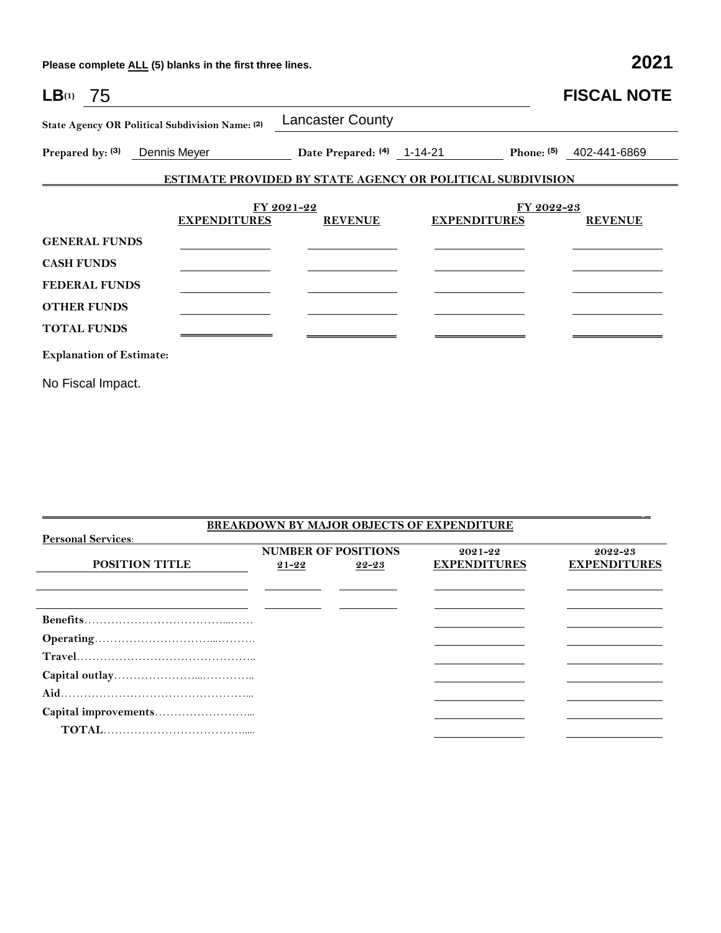**Please complete ALL (5) blanks in the first three lines. 2021**

| $LB(1)$ 75                      |                                                 |                                                                   |                     |                       | <b>FISCAL NOTE</b> |
|---------------------------------|-------------------------------------------------|-------------------------------------------------------------------|---------------------|-----------------------|--------------------|
|                                 | State Agency OR Political Subdivision Name: (2) | <b>Lancaster County</b>                                           |                     |                       |                    |
| Prepared by: (3)                | Dennis Meyer                                    | Date Prepared: (4) 1-14-21                                        |                     | Phone: <sup>(5)</sup> | 402-441-6869       |
|                                 |                                                 | <b>ESTIMATE PROVIDED BY STATE AGENCY OR POLITICAL SUBDIVISION</b> |                     |                       |                    |
|                                 | <b>EXPENDITURES</b>                             | FY 2021-22<br><b>REVENUE</b>                                      | <b>EXPENDITURES</b> | FY 2022-23            | <b>REVENUE</b>     |
| <b>GENERAL FUNDS</b>            |                                                 |                                                                   |                     |                       |                    |
| <b>CASH FUNDS</b>               |                                                 |                                                                   |                     |                       |                    |
| <b>FEDERAL FUNDS</b>            |                                                 |                                                                   |                     |                       |                    |
| <b>OTHER FUNDS</b>              |                                                 |                                                                   |                     |                       |                    |
| <b>TOTAL FUNDS</b>              |                                                 |                                                                   |                     |                       |                    |
| <b>Explanation of Estimate:</b> |                                                 |                                                                   |                     |                       |                    |
| No Fiscal Impact.               |                                                 |                                                                   |                     |                       |                    |

| <b>BREAKDOWN BY MAJOR OBJECTS OF EXPENDITURE</b> |                                                      |  |                                    |                                    |  |  |  |  |
|--------------------------------------------------|------------------------------------------------------|--|------------------------------------|------------------------------------|--|--|--|--|
| <b>Personal Services:</b>                        |                                                      |  |                                    |                                    |  |  |  |  |
| <b>POSITION TITLE</b>                            | <b>NUMBER OF POSITIONS</b><br>$21 - 22$<br>$22 - 23$ |  | $2021 - 22$<br><b>EXPENDITURES</b> | $2022 - 23$<br><b>EXPENDITURES</b> |  |  |  |  |
|                                                  |                                                      |  |                                    |                                    |  |  |  |  |
|                                                  |                                                      |  |                                    |                                    |  |  |  |  |
|                                                  |                                                      |  |                                    |                                    |  |  |  |  |
|                                                  |                                                      |  |                                    |                                    |  |  |  |  |
|                                                  |                                                      |  |                                    |                                    |  |  |  |  |
|                                                  |                                                      |  |                                    |                                    |  |  |  |  |
|                                                  |                                                      |  |                                    |                                    |  |  |  |  |
|                                                  |                                                      |  |                                    |                                    |  |  |  |  |

\_\_\_\_\_\_\_\_\_\_\_\_\_\_\_\_\_\_\_\_\_\_\_\_\_\_\_\_\_\_\_\_\_\_\_\_\_\_\_\_\_\_\_\_\_\_\_\_\_\_\_\_\_\_\_\_\_\_\_\_\_\_\_\_\_\_\_\_\_\_\_\_\_\_\_\_\_\_\_\_\_\_\_\_\_\_\_\_\_\_\_\_\_\_\_\_\_\_\_\_\_ \_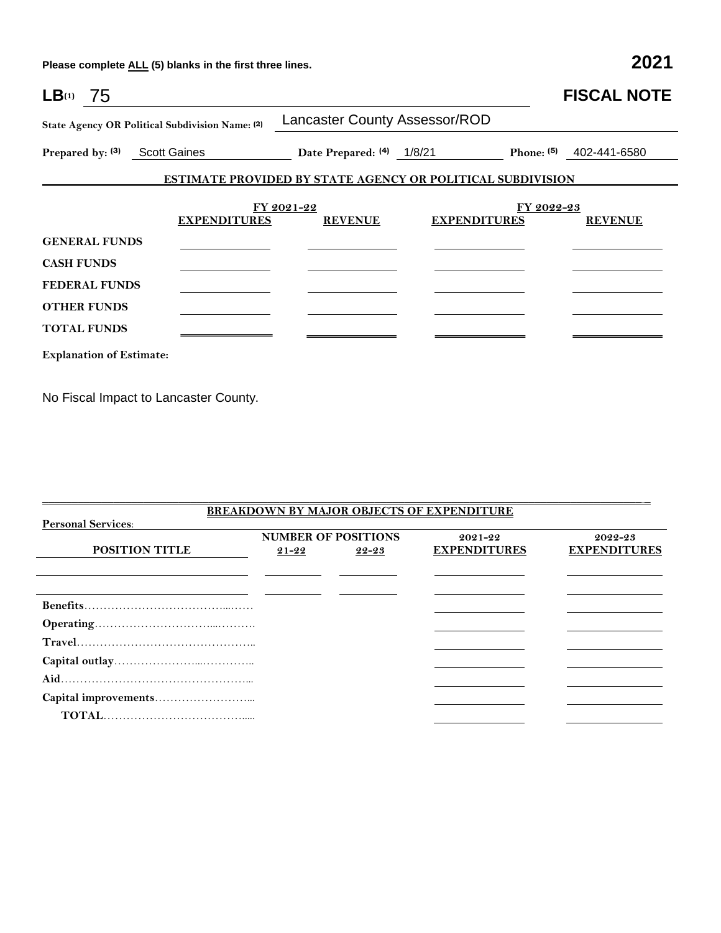**Please complete ALL (5) blanks in the first three lines. 2021**

| $LB(1)$ 75         |                                 |                                                 |                                                                   |                     |                       | <b>FISCAL NOTE</b> |
|--------------------|---------------------------------|-------------------------------------------------|-------------------------------------------------------------------|---------------------|-----------------------|--------------------|
|                    |                                 | State Agency OR Political Subdivision Name: (2) | <b>Lancaster County Assessor/ROD</b>                              |                     |                       |                    |
|                    |                                 | Prepared by: (3) Scott Gaines                   | Date Prepared: (4) 1/8/21                                         |                     | Phone: <sup>(5)</sup> | 402-441-6580       |
|                    |                                 |                                                 | <b>ESTIMATE PROVIDED BY STATE AGENCY OR POLITICAL SUBDIVISION</b> |                     |                       |                    |
|                    |                                 | <b>EXPENDITURES</b>                             | FY 2021-22<br><b>REVENUE</b>                                      | <b>EXPENDITURES</b> | FY 2022-23            | <b>REVENUE</b>     |
|                    | <b>GENERAL FUNDS</b>            |                                                 |                                                                   |                     |                       |                    |
| <b>CASH FUNDS</b>  |                                 |                                                 |                                                                   |                     |                       |                    |
|                    | <b>FEDERAL FUNDS</b>            |                                                 |                                                                   |                     |                       |                    |
|                    | <b>OTHER FUNDS</b>              |                                                 |                                                                   |                     |                       |                    |
| <b>TOTAL FUNDS</b> |                                 |                                                 |                                                                   |                     |                       |                    |
|                    | <b>Explanation of Estimate:</b> |                                                 |                                                                   |                     |                       |                    |

No Fiscal Impact to Lancaster County.

|                           |           |                            | <b>BREAKDOWN BY MAJOR OBJECTS OF EXPENDITURE</b> |                     |
|---------------------------|-----------|----------------------------|--------------------------------------------------|---------------------|
| <b>Personal Services:</b> |           |                            |                                                  |                     |
|                           |           | <b>NUMBER OF POSITIONS</b> | 2021-22                                          | 2022-23             |
| <b>POSITION TITLE</b>     | $21 - 22$ | 22-23                      | <b>EXPENDITURES</b>                              | <b>EXPENDITURES</b> |
|                           |           |                            |                                                  |                     |
|                           |           |                            |                                                  |                     |
|                           |           |                            |                                                  |                     |
|                           |           |                            |                                                  |                     |
|                           |           |                            |                                                  |                     |
|                           |           |                            |                                                  |                     |
|                           |           |                            |                                                  |                     |
|                           |           |                            |                                                  |                     |
|                           |           |                            |                                                  |                     |
|                           |           |                            |                                                  |                     |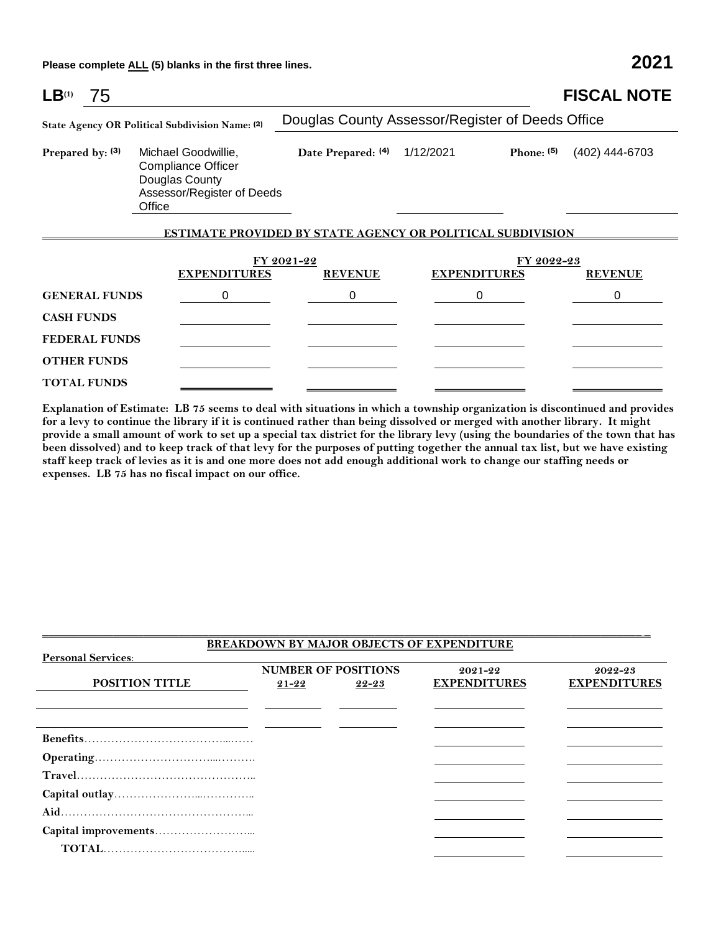**Please complete ALL (5) blanks in the first three lines. 2021**

| LB <sup>(1)</sup>                               | 75                   |                                                                                                            |                                                                   |                     |              | <b>FISCAL NOTE</b> |
|-------------------------------------------------|----------------------|------------------------------------------------------------------------------------------------------------|-------------------------------------------------------------------|---------------------|--------------|--------------------|
| State Agency OR Political Subdivision Name: (2) |                      | Douglas County Assessor/Register of Deeds Office                                                           |                                                                   |                     |              |                    |
|                                                 | Prepared by: (3)     | Michael Goodwillie,<br><b>Compliance Officer</b><br>Douglas County<br>Assessor/Register of Deeds<br>Office | Date Prepared: (4)                                                | 1/12/2021           | Phone: $(5)$ | (402) 444-6703     |
|                                                 |                      |                                                                                                            | <b>ESTIMATE PROVIDED BY STATE AGENCY OR POLITICAL SUBDIVISION</b> |                     |              |                    |
|                                                 |                      | FY 2021-22                                                                                                 | FY 2022-23                                                        |                     |              |                    |
|                                                 |                      | <b>EXPENDITURES</b>                                                                                        | <b>REVENUE</b>                                                    | <b>EXPENDITURES</b> |              | <b>REVENUE</b>     |
|                                                 | <b>GENERAL FUNDS</b> | 0                                                                                                          | 0                                                                 | 0                   |              | 0                  |
| <b>CASH FUNDS</b>                               |                      |                                                                                                            |                                                                   |                     |              |                    |
|                                                 | <b>FEDERAL FUNDS</b> |                                                                                                            |                                                                   |                     |              |                    |
|                                                 | <b>OTHER FUNDS</b>   |                                                                                                            |                                                                   |                     |              |                    |
|                                                 | <b>TOTAL FUNDS</b>   |                                                                                                            |                                                                   |                     |              |                    |

**Explanation of Estimate: LB 75 seems to deal with situations in which a township organization is discontinued and provides for a levy to continue the library if it is continued rather than being dissolved or merged with another library. It might provide a small amount of work to set up a special tax district for the library levy (using the boundaries of the town that has been dissolved) and to keep track of that levy for the purposes of putting together the annual tax list, but we have existing staff keep track of levies as it is and one more does not add enough additional work to change our staffing needs or expenses. LB 75 has no fiscal impact on our office.**

| <b>BREAKDOWN BY MAJOR OBJECTS OF EXPENDITURE</b> |                            |       |                     |                     |  |  |  |
|--------------------------------------------------|----------------------------|-------|---------------------|---------------------|--|--|--|
| <b>Personal Services:</b>                        |                            |       |                     |                     |  |  |  |
|                                                  | <b>NUMBER OF POSITIONS</b> |       | $2021 - 22$         | 2022-23             |  |  |  |
| POSITION TITLE                                   | $21 - 22$                  | 22-23 | <b>EXPENDITURES</b> | <b>EXPENDITURES</b> |  |  |  |
|                                                  |                            |       |                     |                     |  |  |  |
|                                                  |                            |       |                     |                     |  |  |  |
|                                                  |                            |       |                     |                     |  |  |  |
|                                                  |                            |       |                     |                     |  |  |  |
|                                                  |                            |       |                     |                     |  |  |  |
|                                                  |                            |       |                     |                     |  |  |  |
|                                                  |                            |       |                     |                     |  |  |  |
|                                                  |                            |       |                     |                     |  |  |  |
|                                                  |                            |       |                     |                     |  |  |  |
|                                                  |                            |       |                     |                     |  |  |  |
|                                                  |                            |       |                     |                     |  |  |  |
|                                                  |                            |       |                     |                     |  |  |  |

 $\overline{\phantom{a}}$  , and the state of the state of the state of the state of the state of the state of the state of the state of the state of the state of the state of the state of the state of the state of the state of the stat